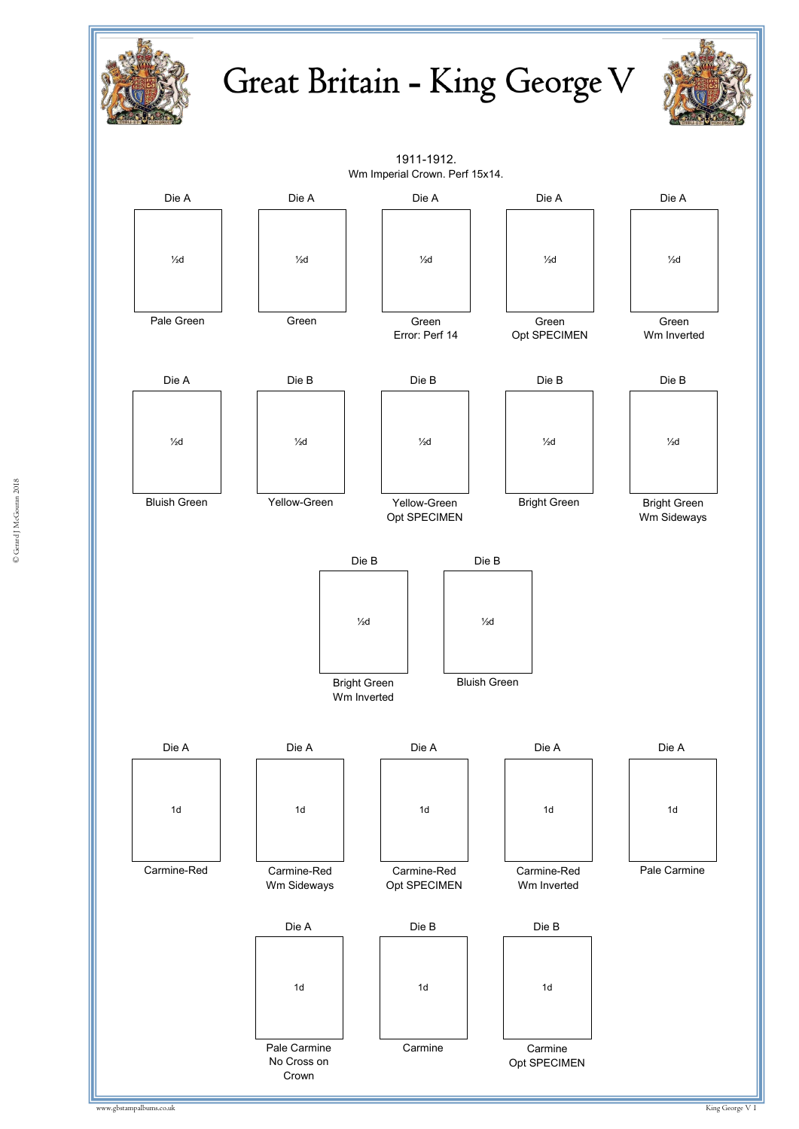





www.gbstampalbums.co.uk King George V 1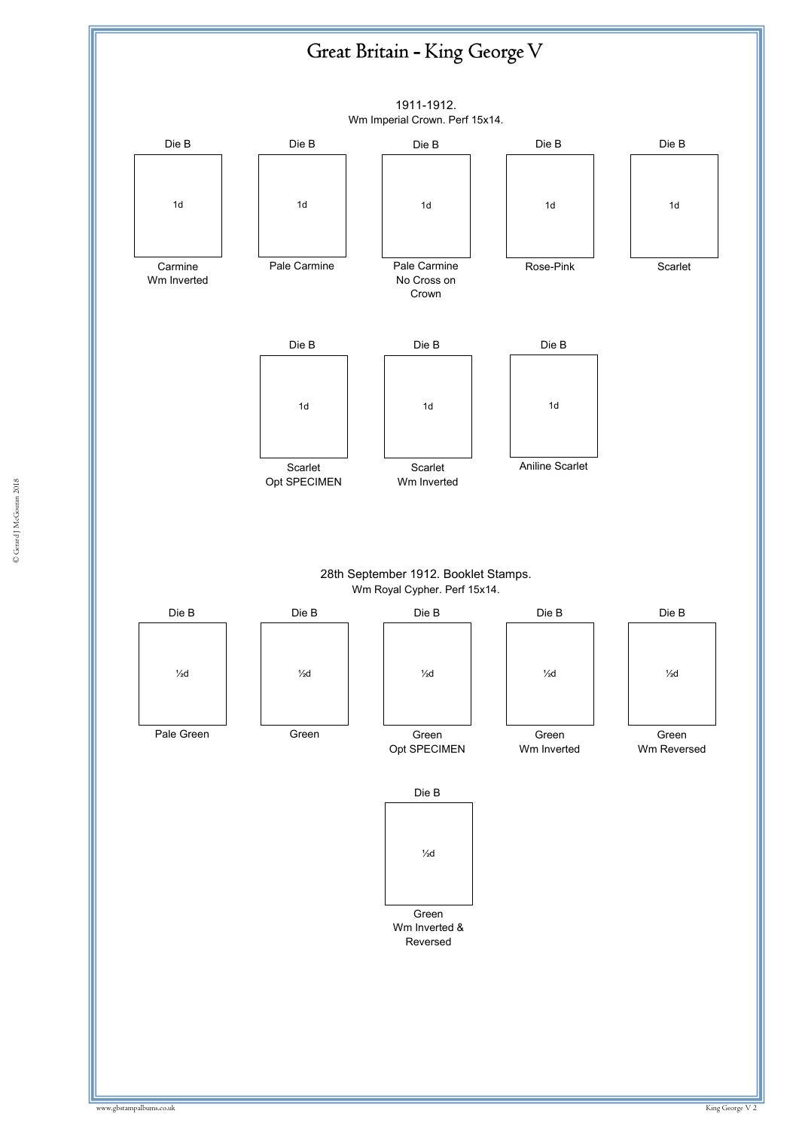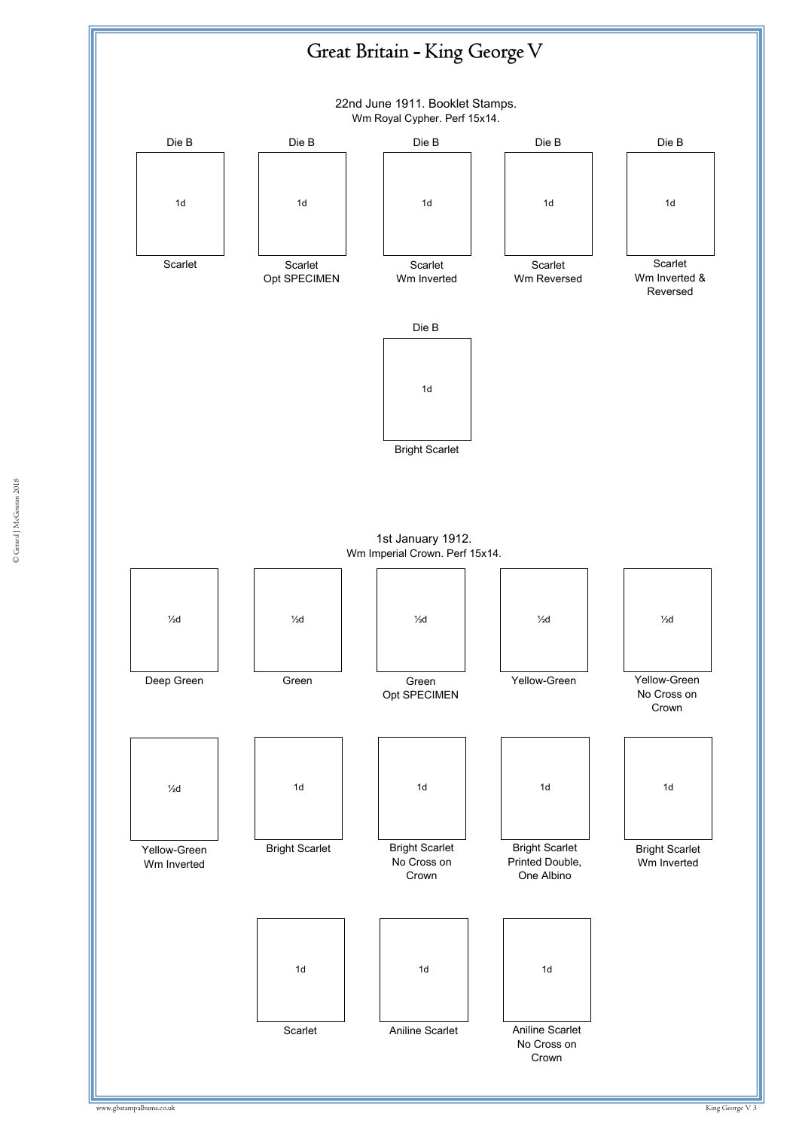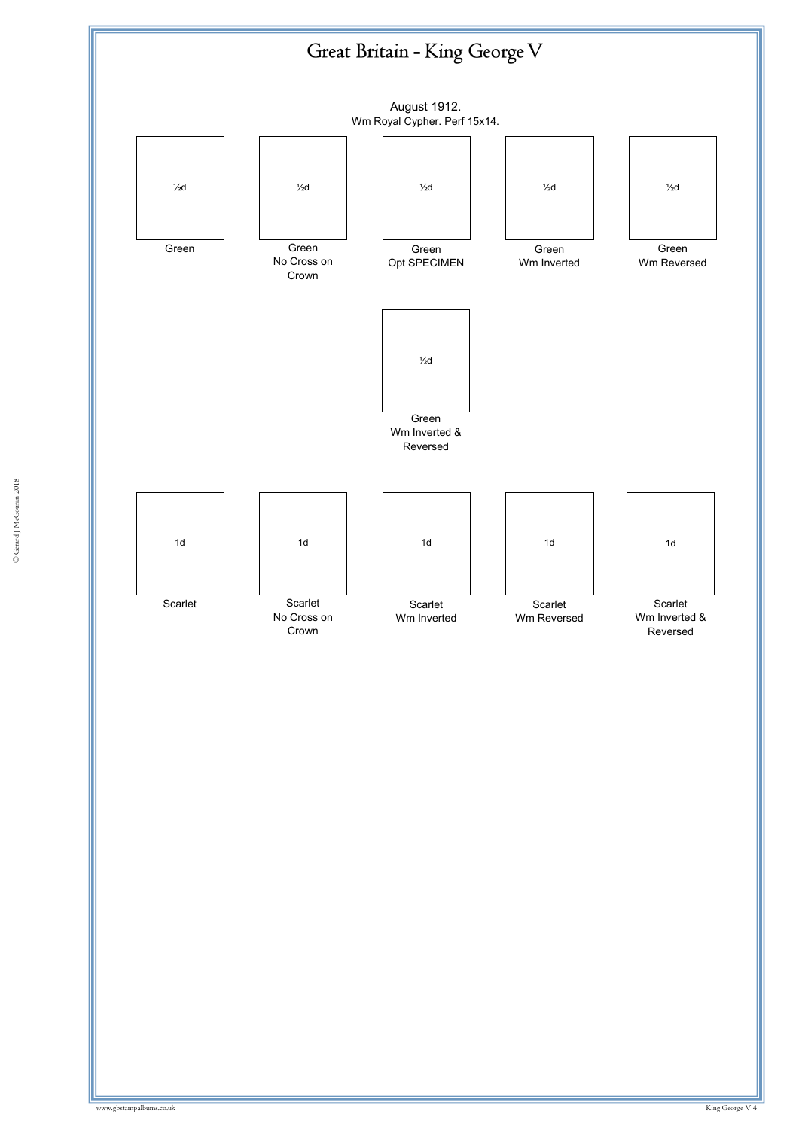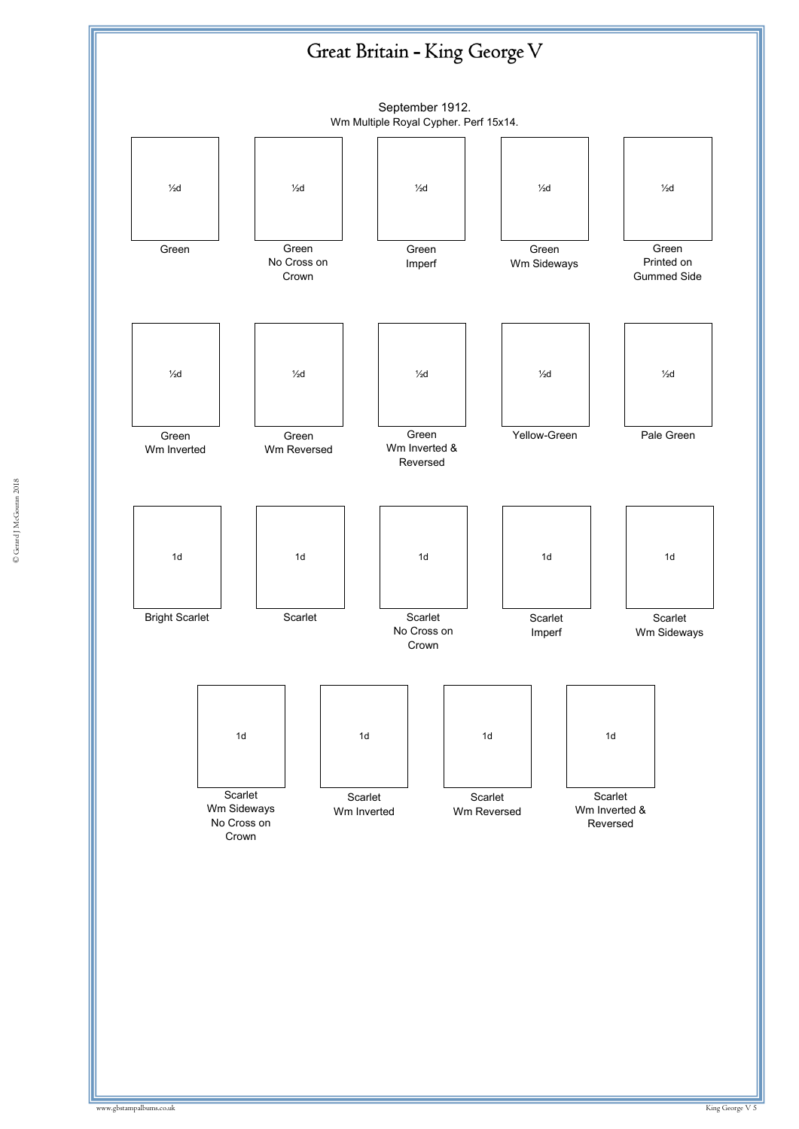

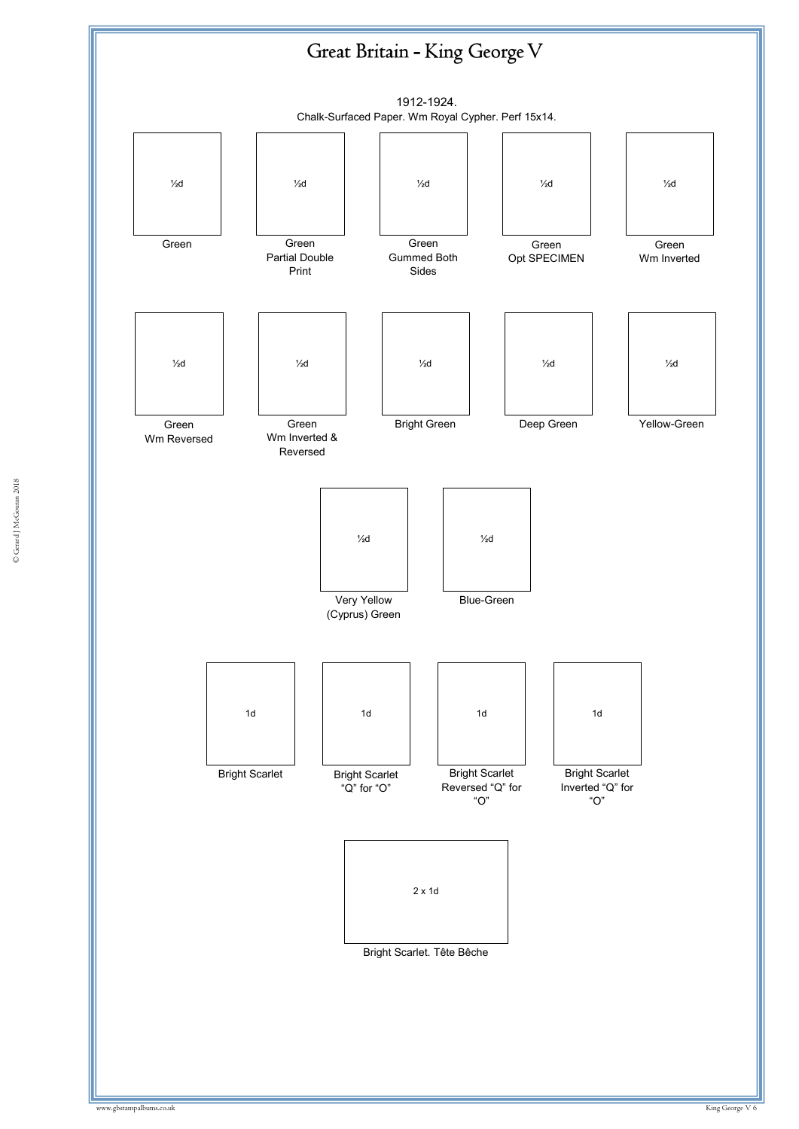

© Gerard J McGouran 2018 © Gerard J McGouran 2018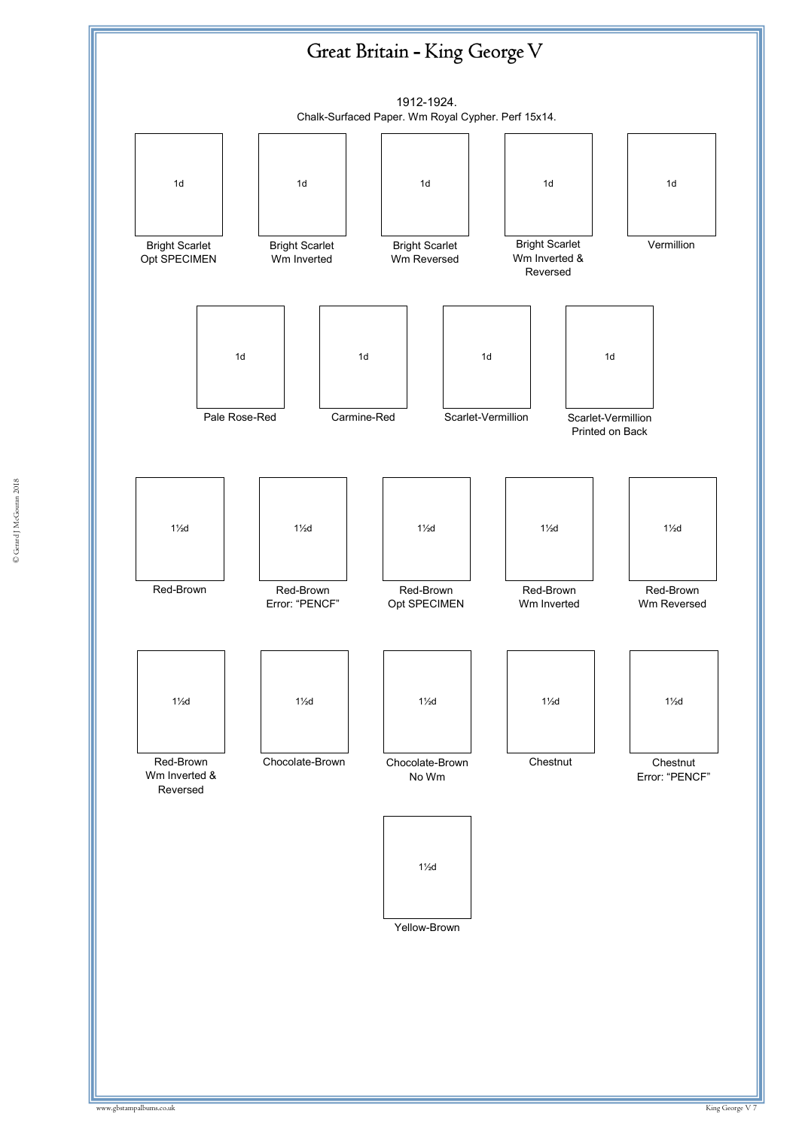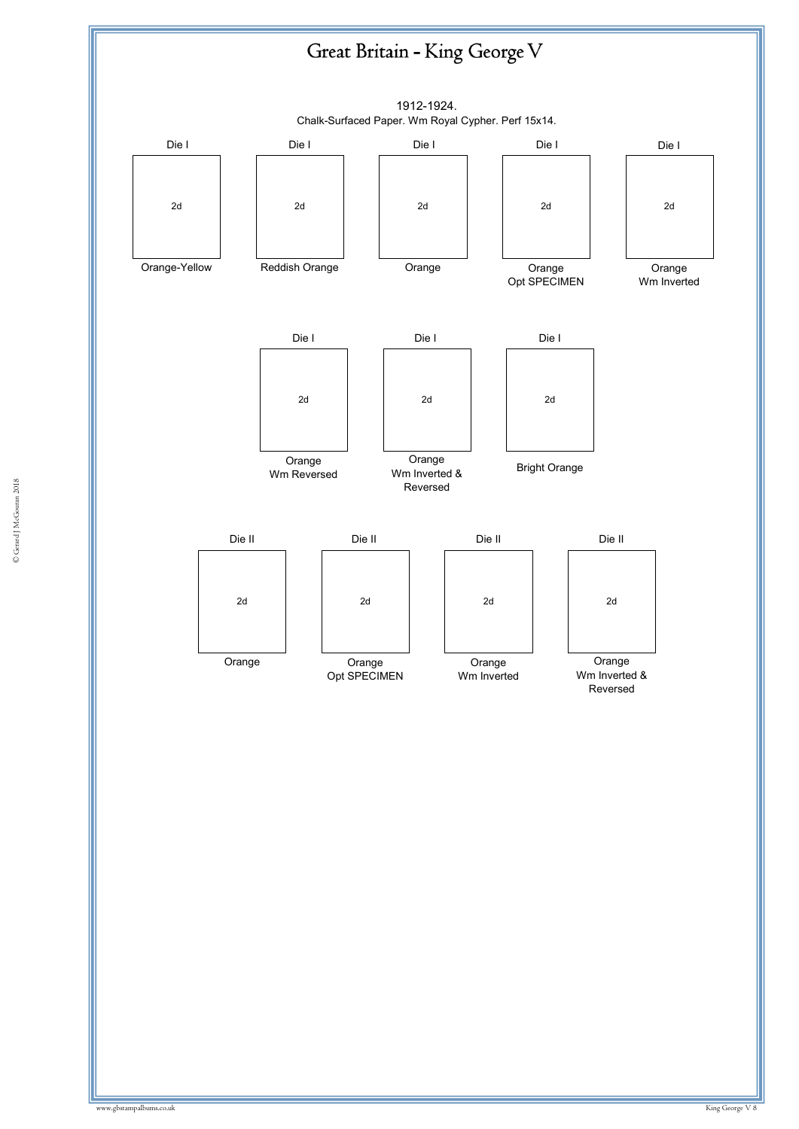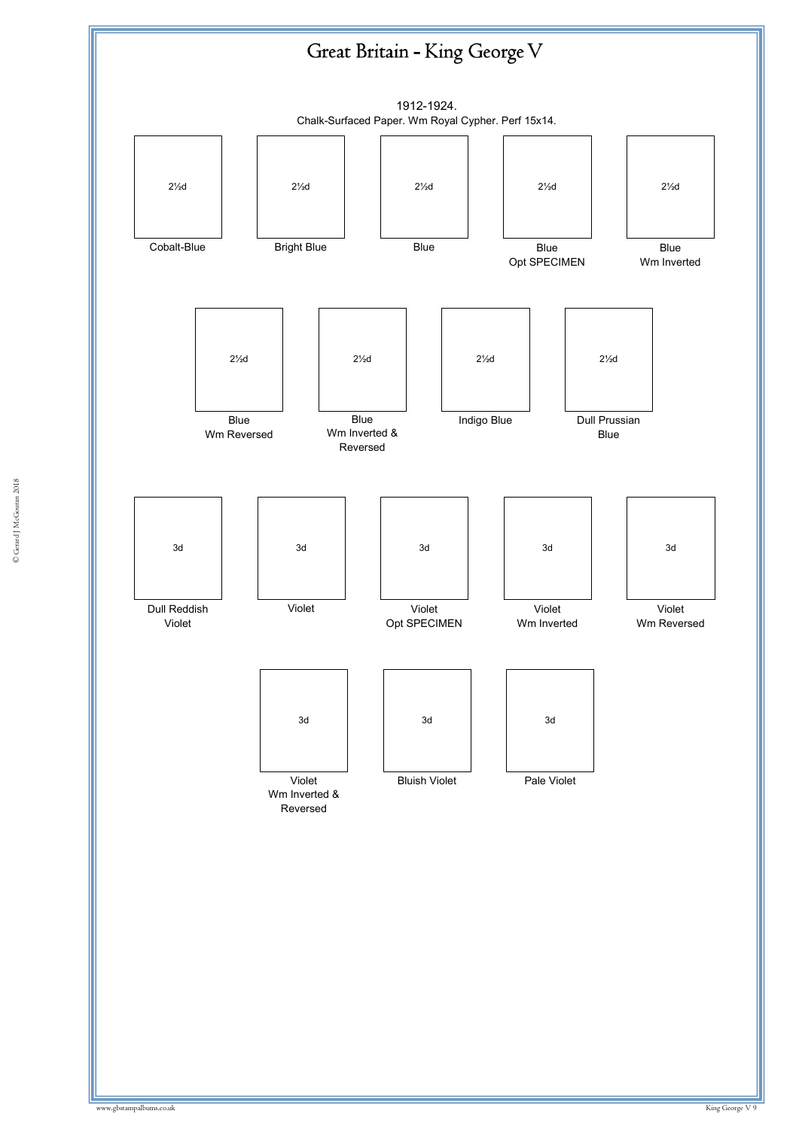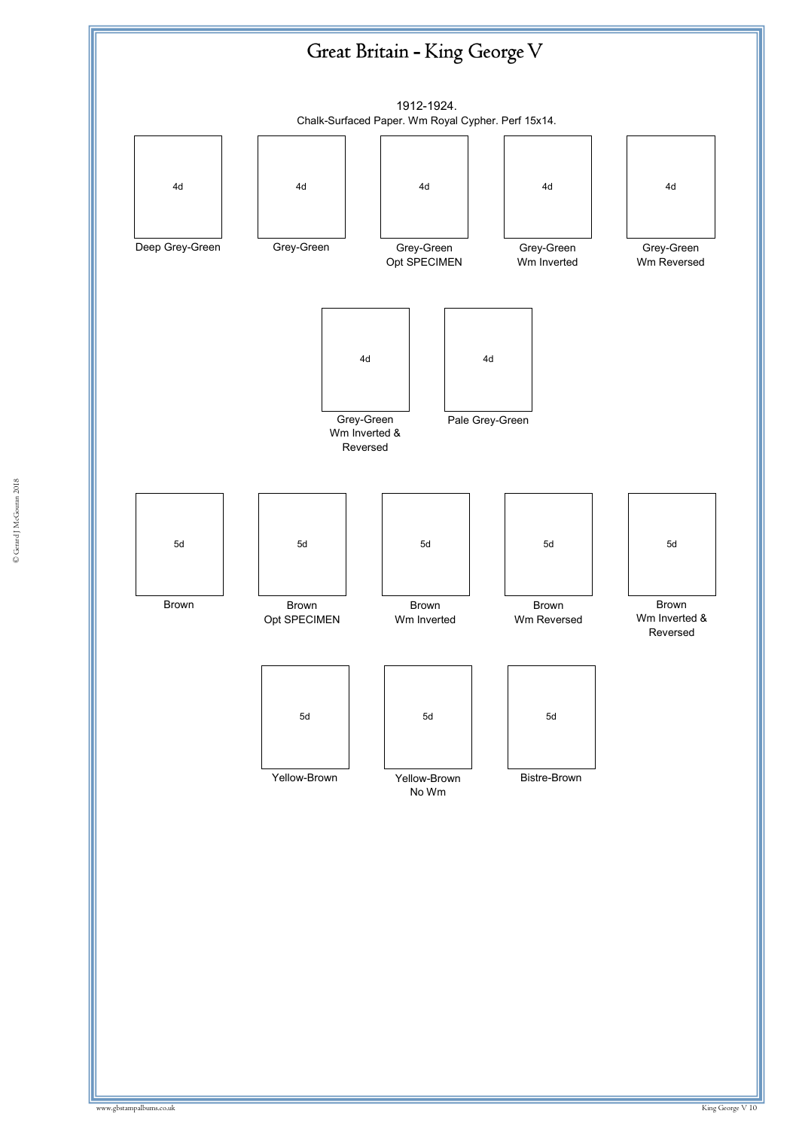

© Gerard J McGouran 2018 © Gerard J McGouran 2018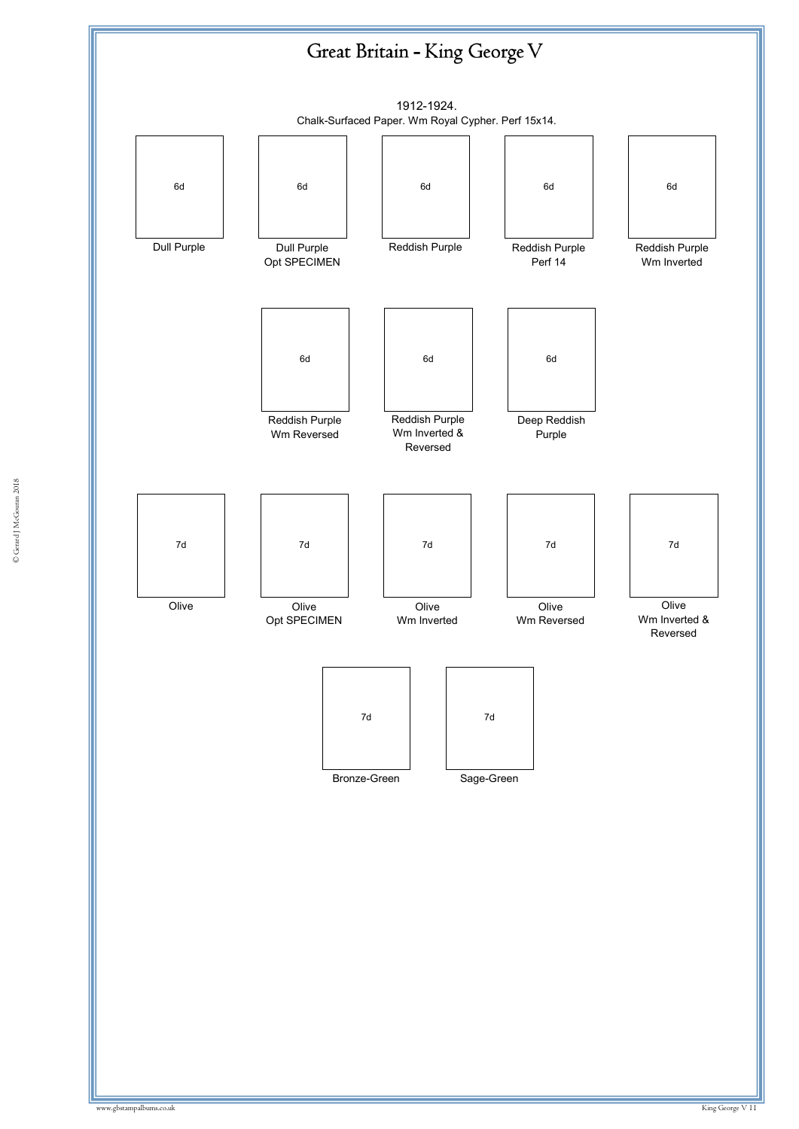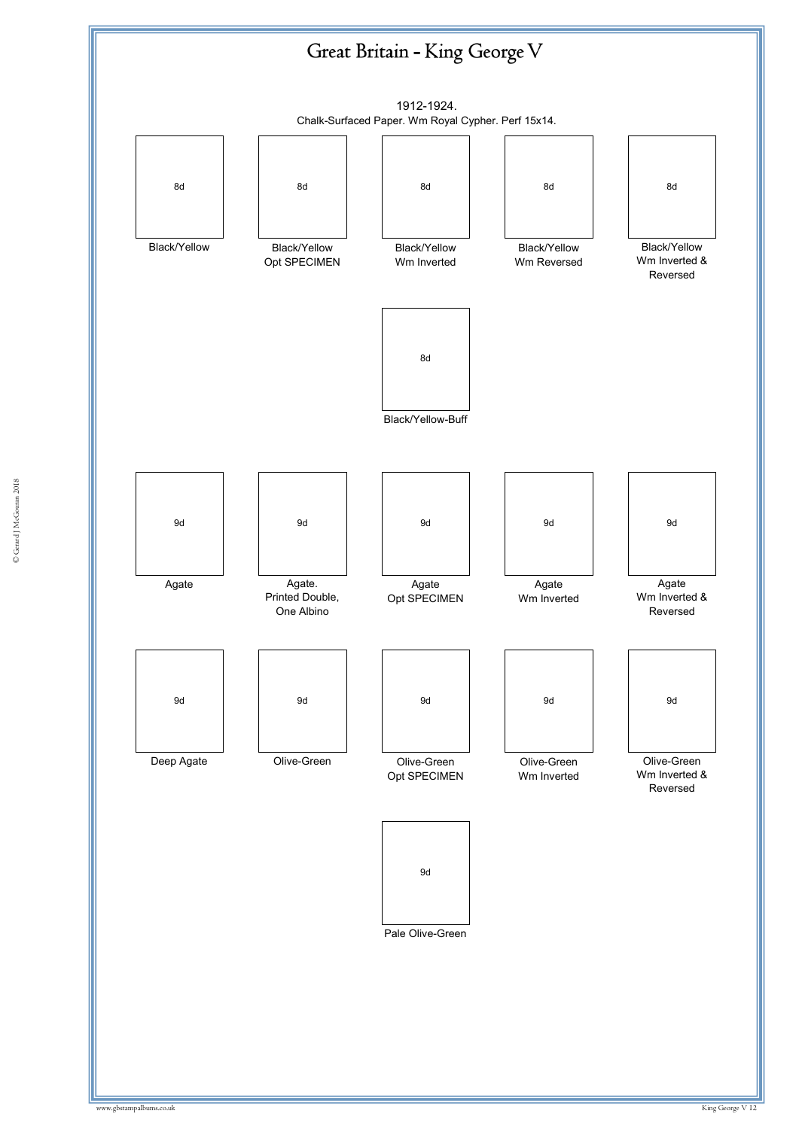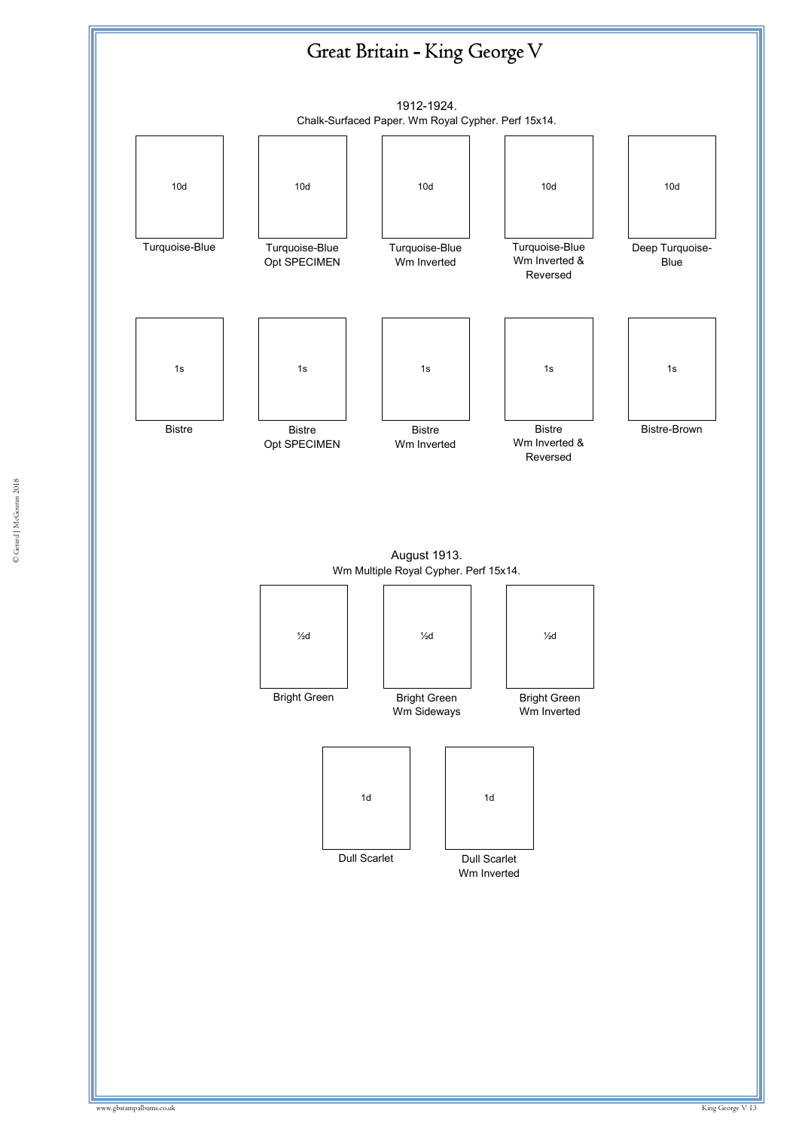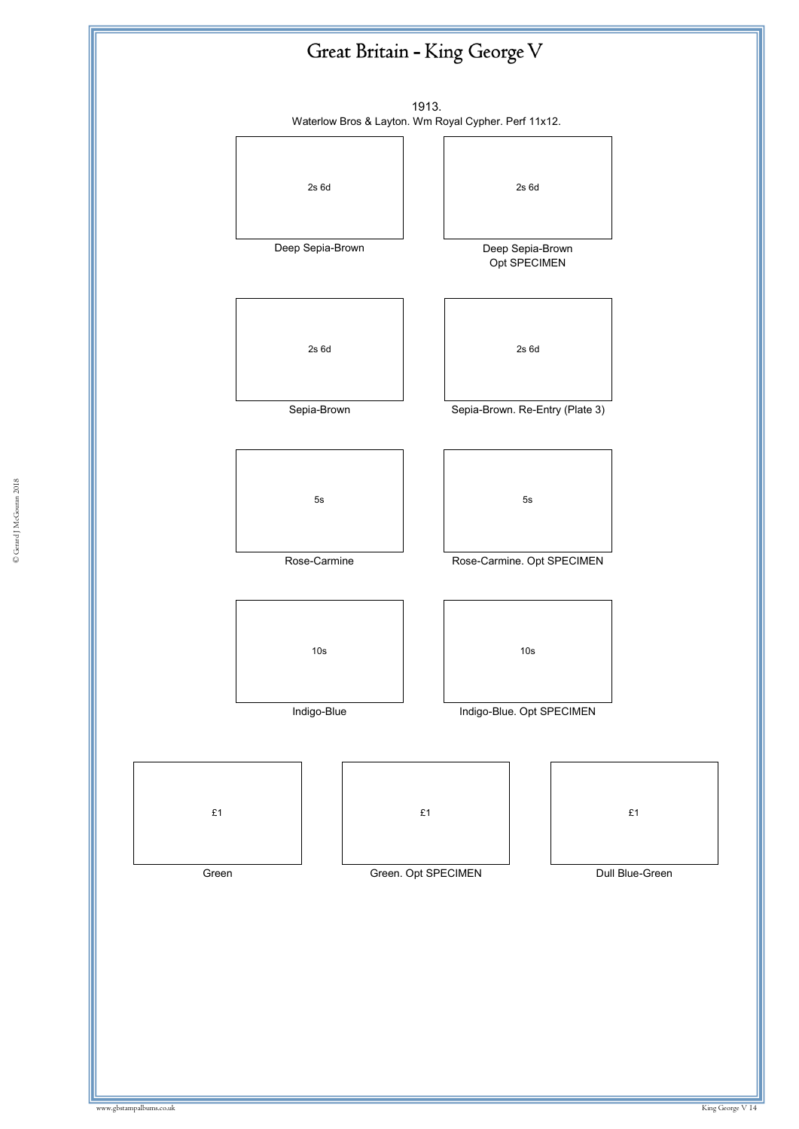



© Gerard J McGouran 2018 © Gerard J McGouran 2018

£1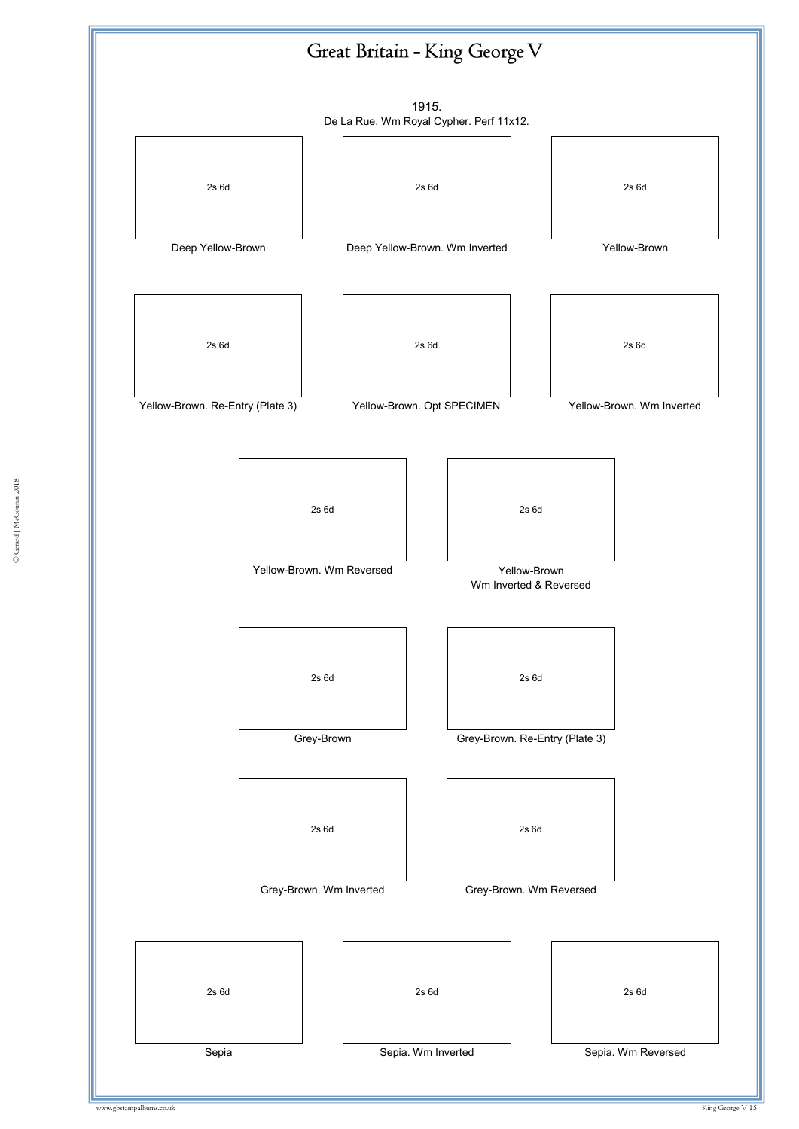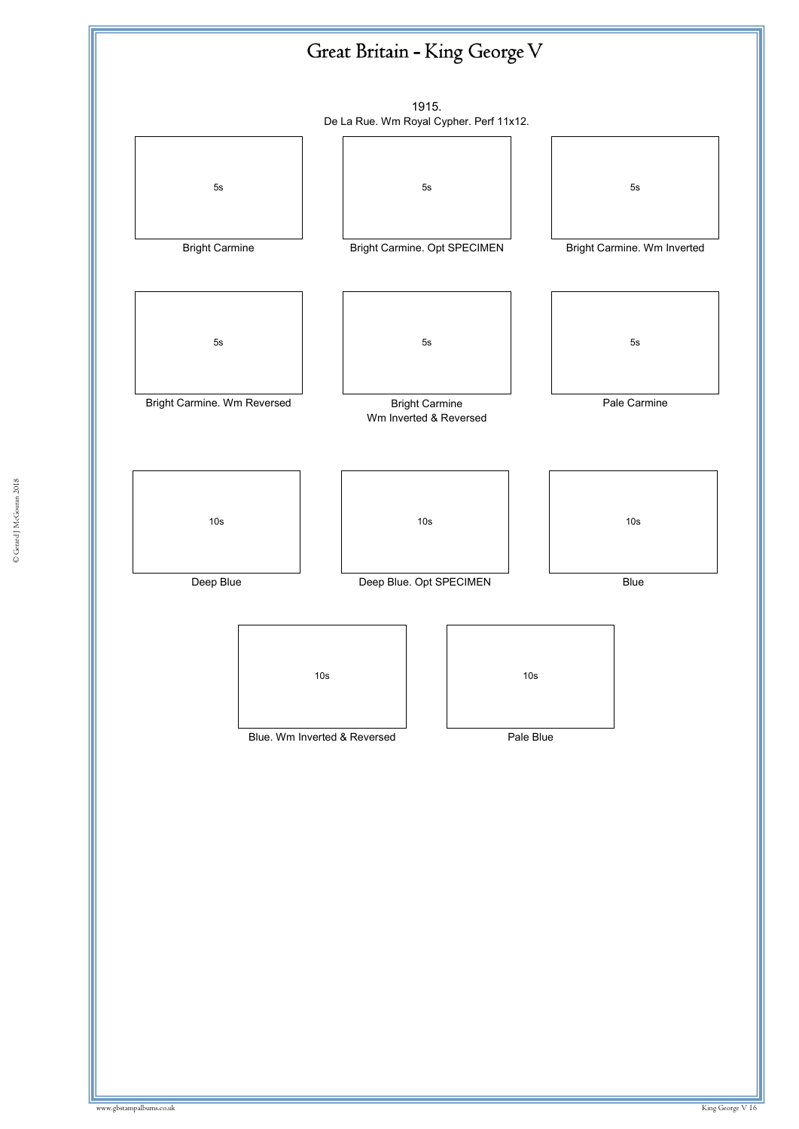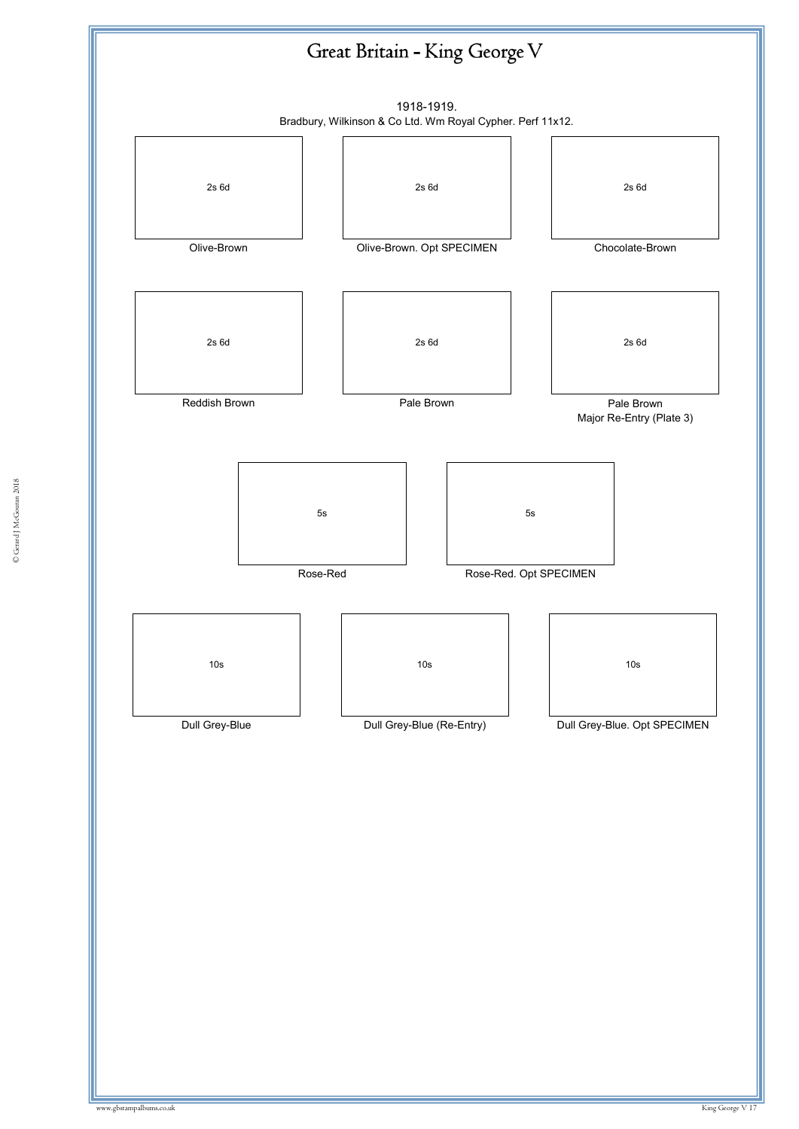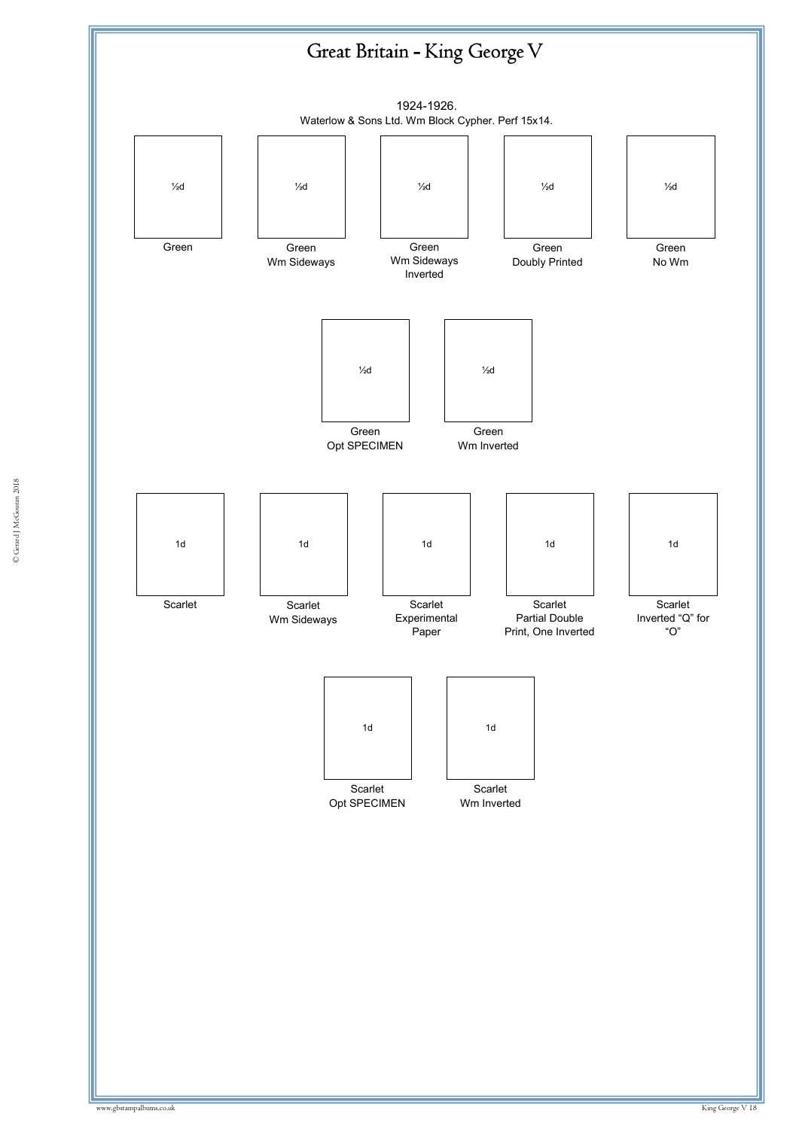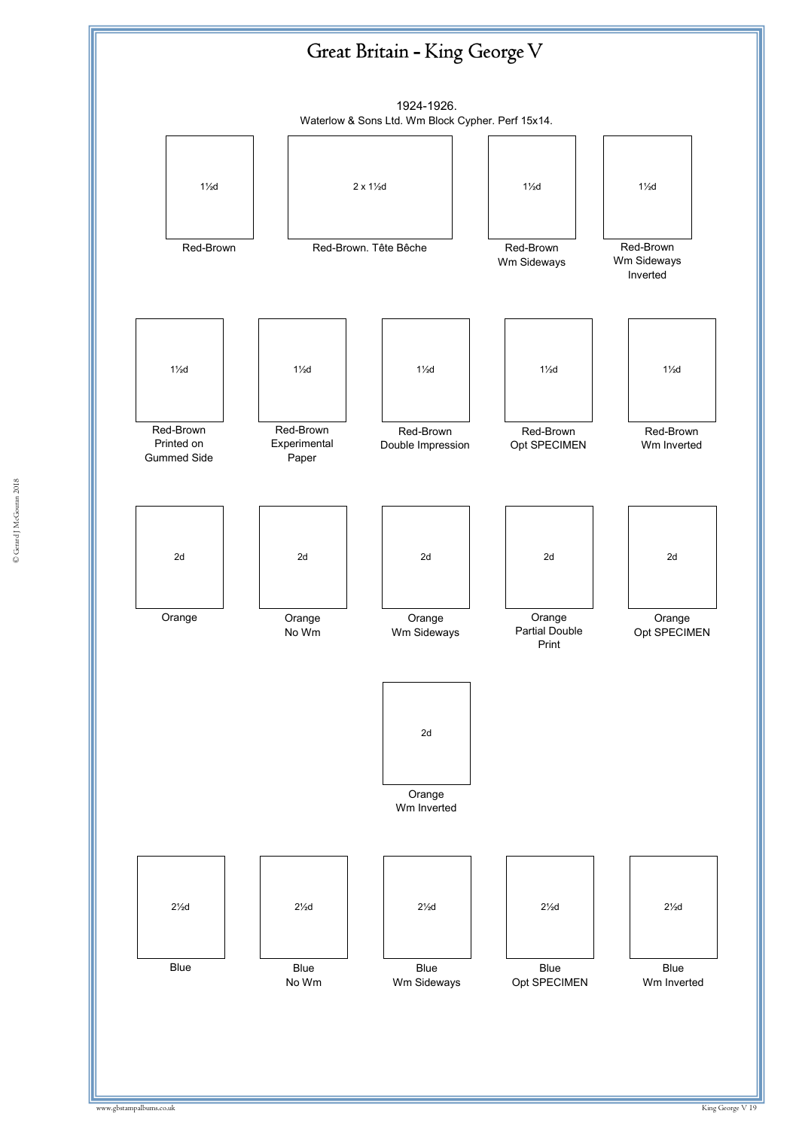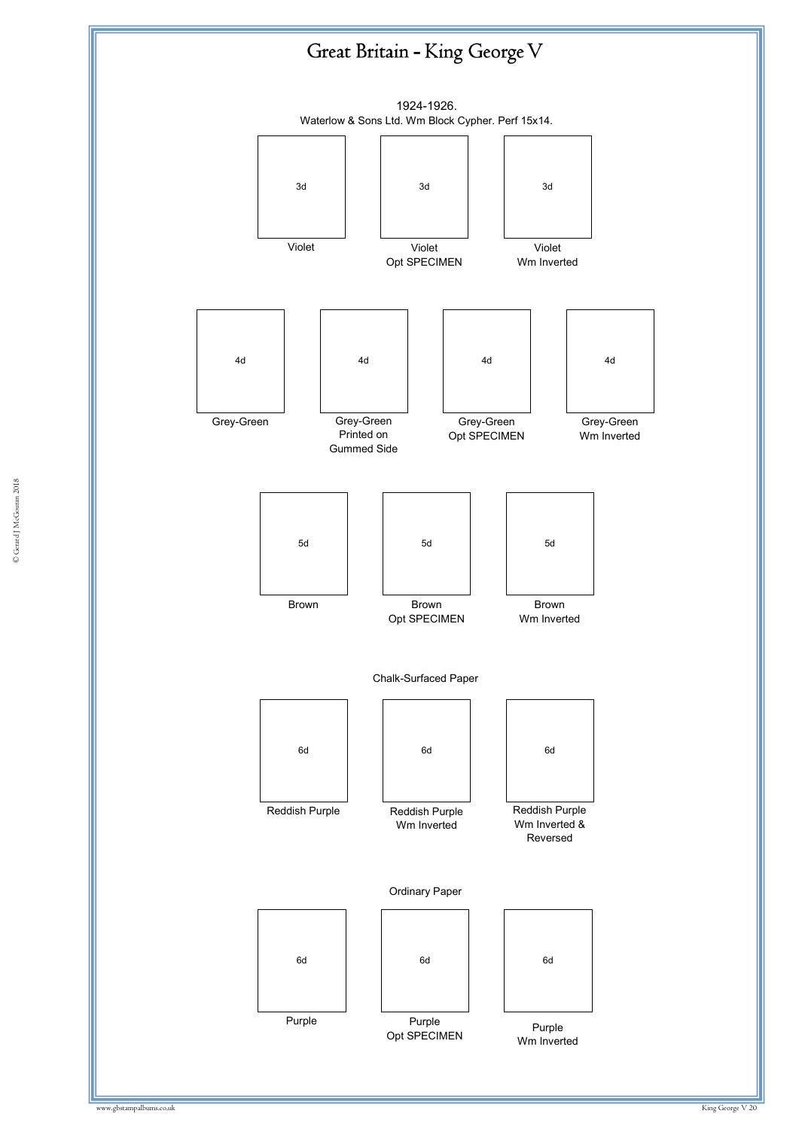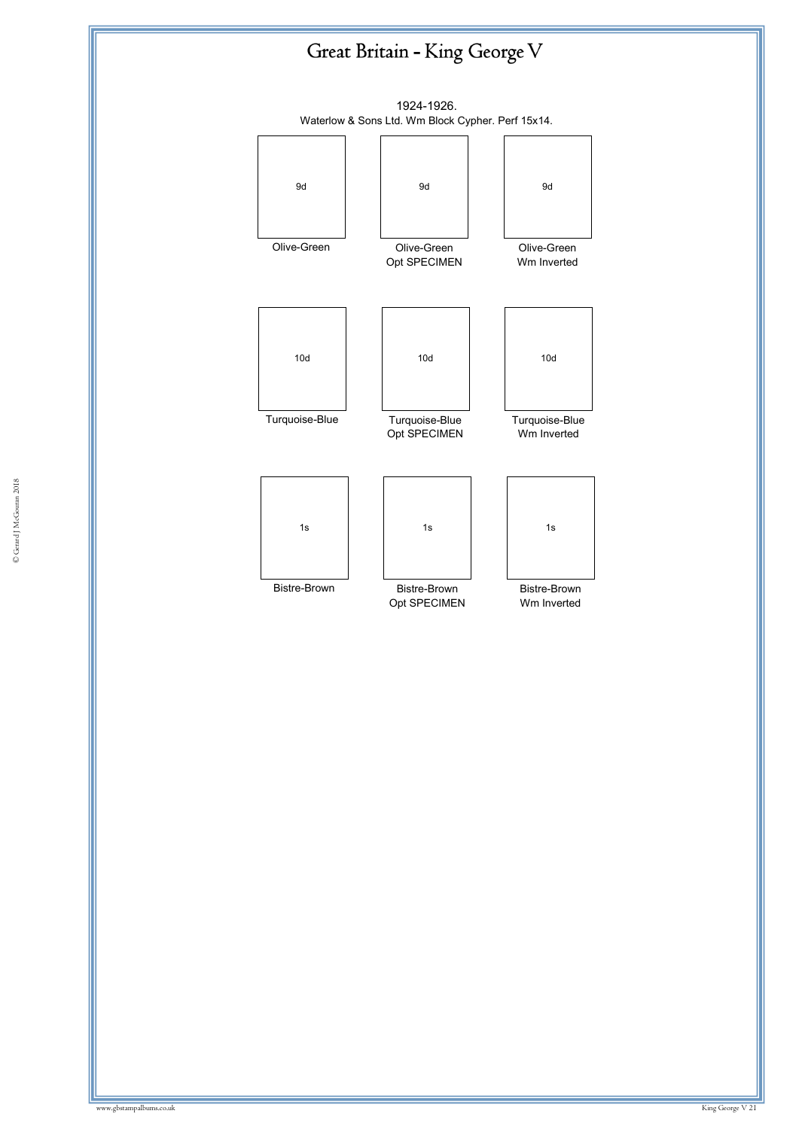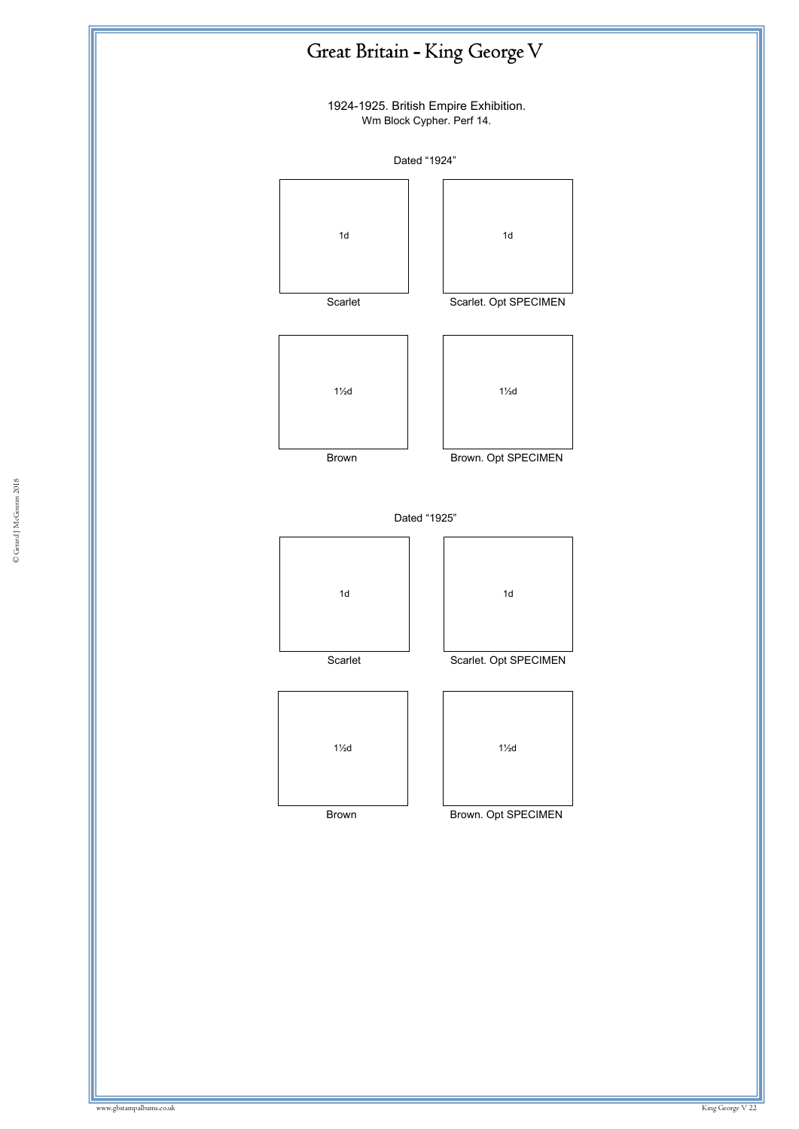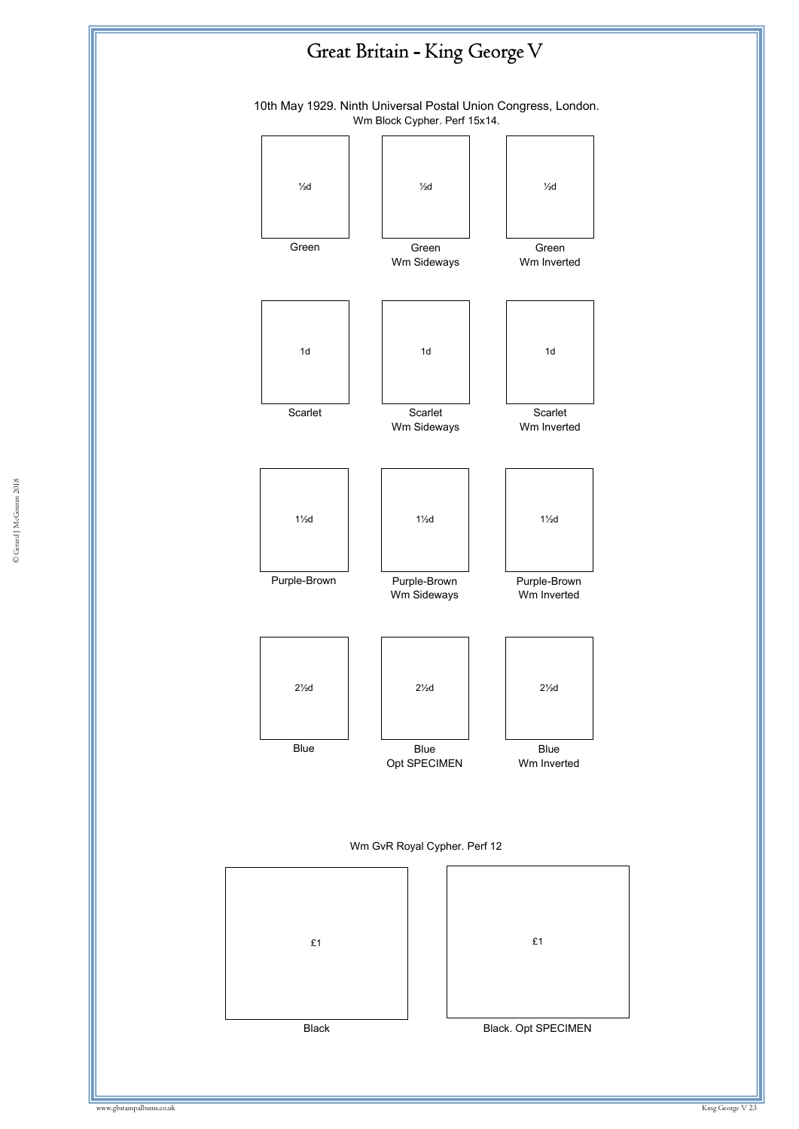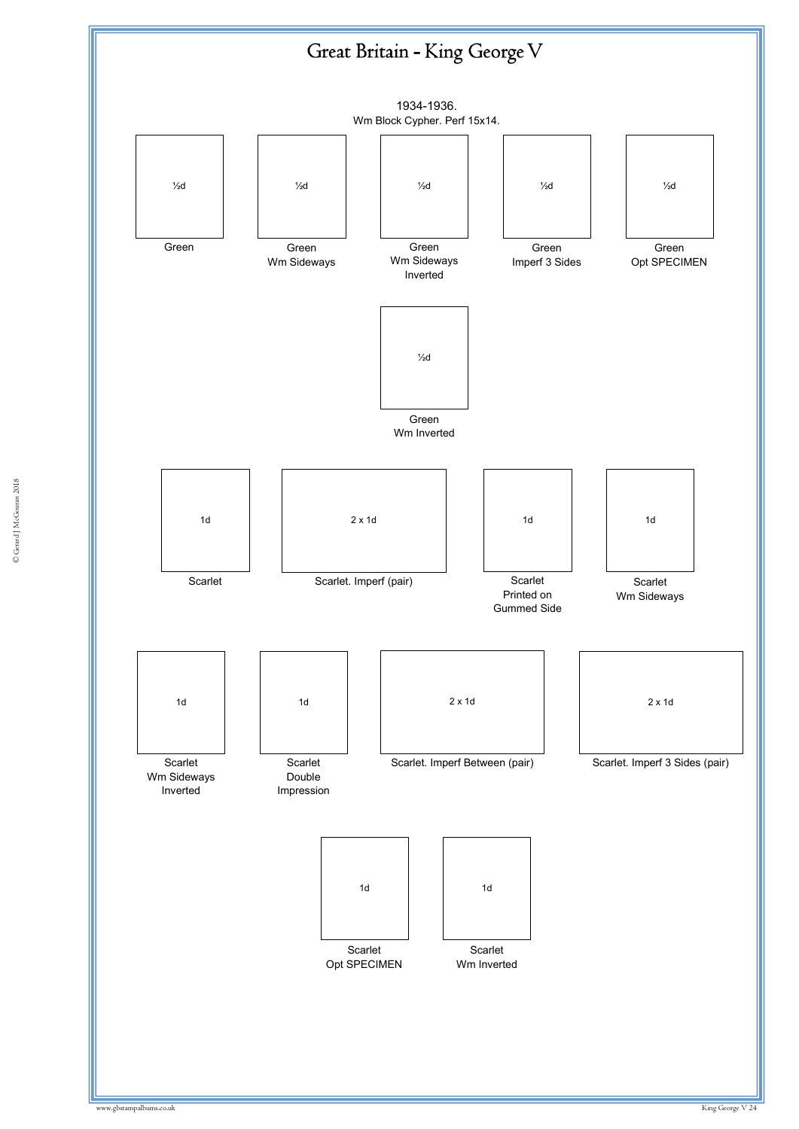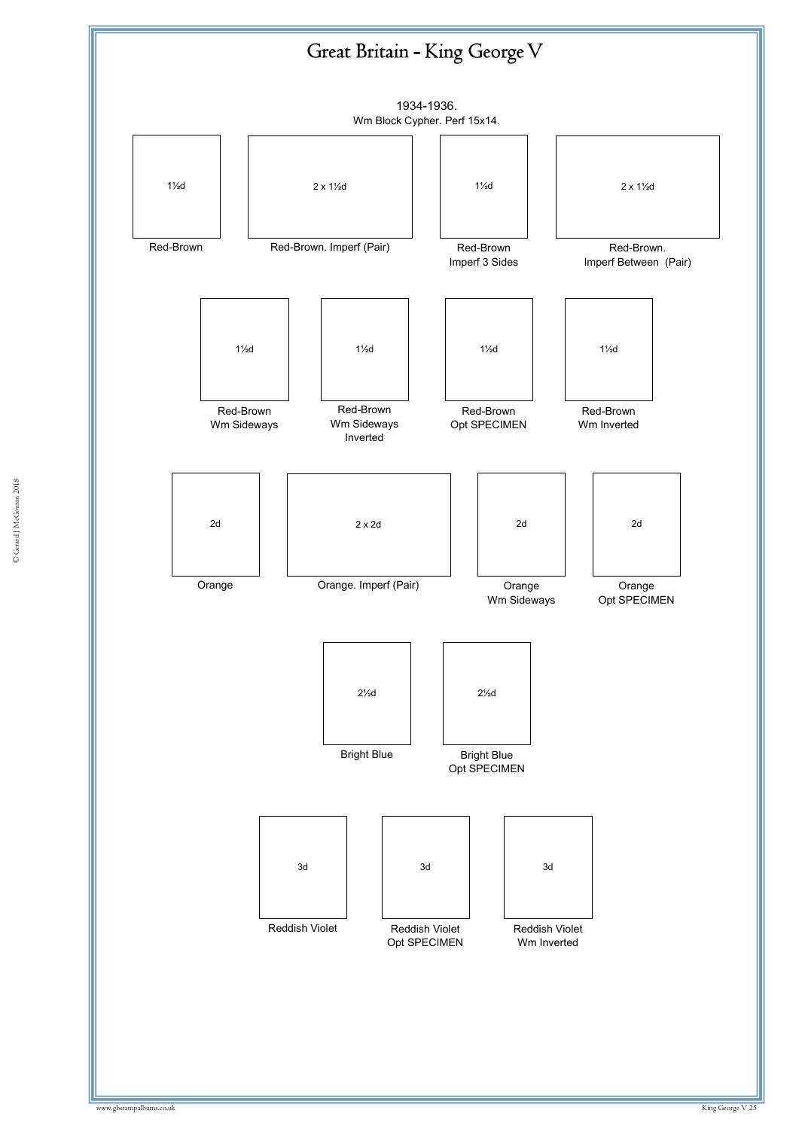![](_page_24_Figure_0.jpeg)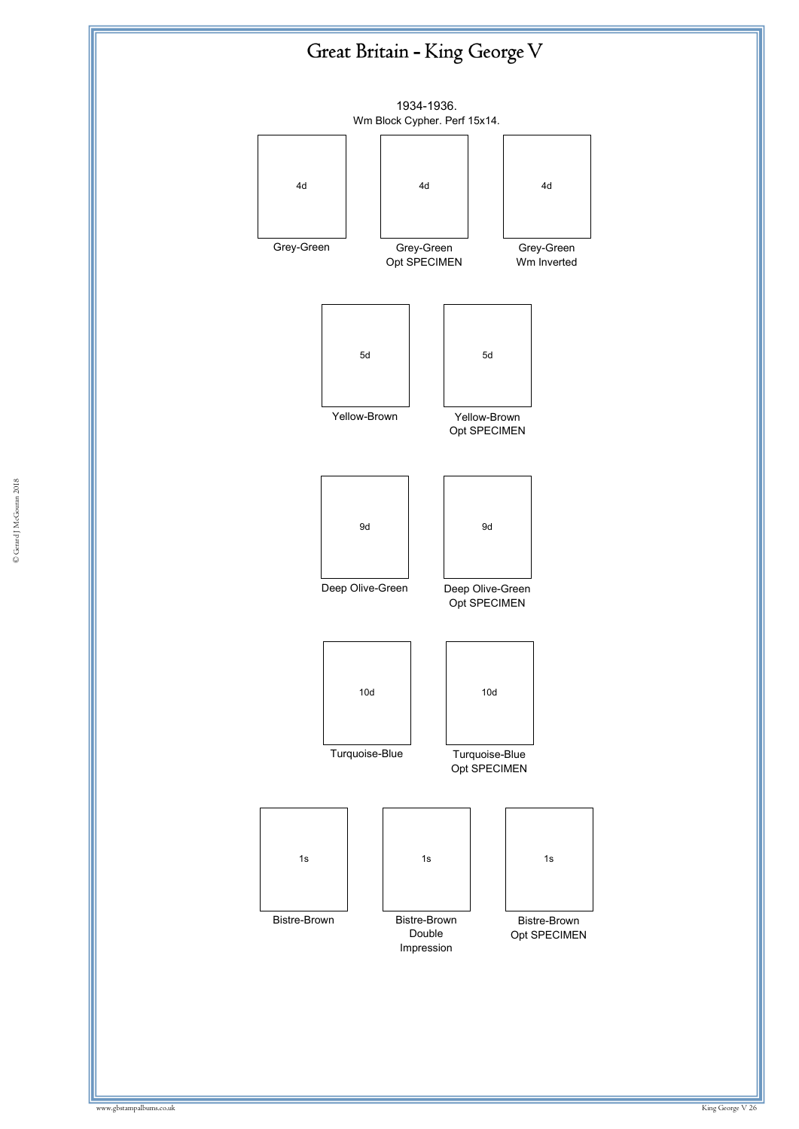![](_page_25_Figure_1.jpeg)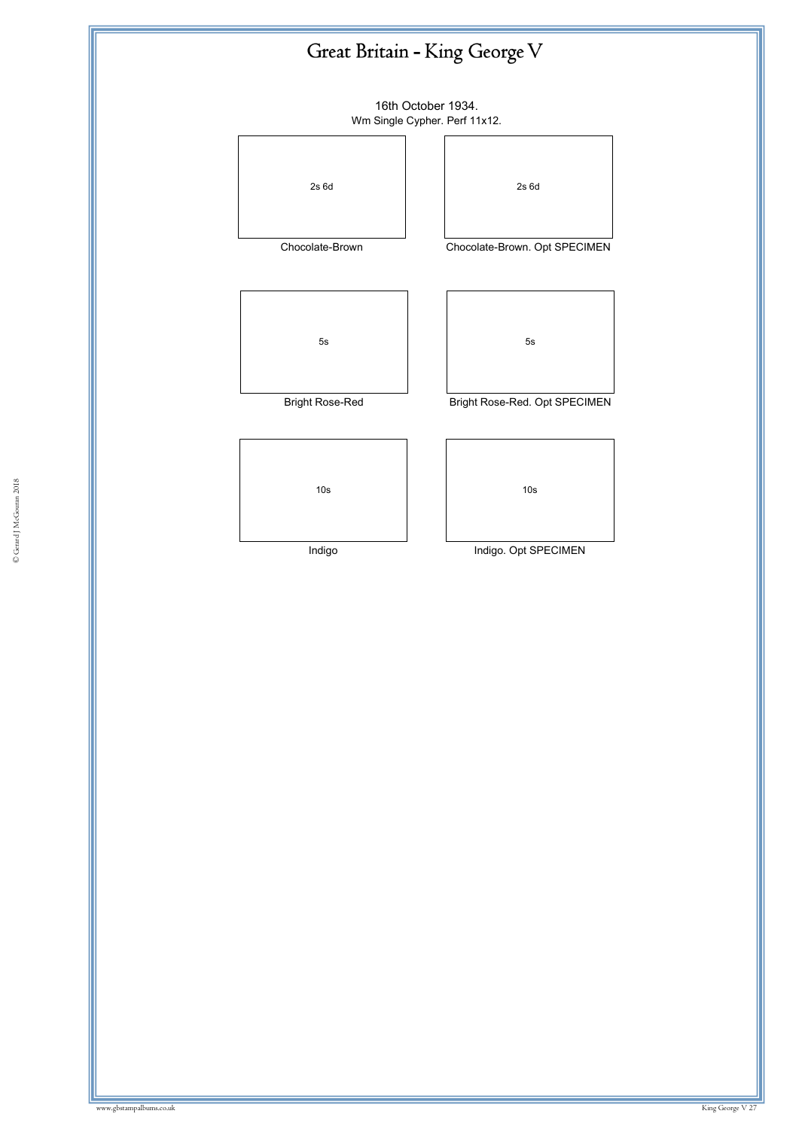16th October 1934. Wm Single Cypher. Perf 11x12.

![](_page_26_Picture_2.jpeg)

Chocolate-Brown

![](_page_26_Picture_4.jpeg)

Bright Rose-Red

| 10 <sub>s</sub> | 10 <sub>s</sub>      |
|-----------------|----------------------|
| Indigo          | Indigo. Opt SPECIMEN |

Indigo

| Bright Rose-Red. Opt SPECIMEN |
|-------------------------------|
|                               |
|                               |
|                               |
| 10s                           |
|                               |

2s 6d

Chocolate-Brown. Opt SPECIMEN

5s